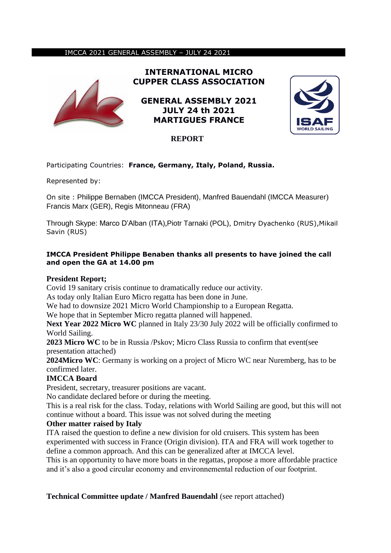### IMCCA 2021 GENERAL ASSEMBLY – JULY 24 2021



**INTERNATIONAL MICRO CUPPER CLASS ASSOCIATION**

**GENERAL ASSEMBLY 2021 JULY 24 th 2021 MARTIGUES FRANCE** 



# **REPORT**

# Participating Countries: **France, Germany, Italy, Poland, Russia.**

Represented by:

On site : Philippe Bernaben (IMCCA President), Manfred Bauendahl (IMCCA Measurer) Francis Marx (GER), Regis Mitonneau (FRA)

Through Skype: Marco D'Alban (ITA),Piotr Tarnaki (POL), Dmitry Dyachenko (RUS),Mikail Savin (RUS)

## **IMCCA President Philippe Benaben thanks all presents to have joined the call and open the GA at 14.00 pm**

## **President Report;**

Covid 19 sanitary crisis continue to dramatically reduce our activity.

As today only Italian Euro Micro regatta has been done in June.

We had to downsize 2021 Micro World Championship to a European Regatta.

We hope that in September Micro regatta planned will happened.

**Next Year 2022 Micro WC** planned in Italy 23/30 July 2022 will be officially confirmed to World Sailing.

**2023 Micro WC** to be in Russia /Pskov; Micro Class Russia to confirm that event(see presentation attached)

**2024Micro WC**: Germany is working on a project of Micro WC near Nuremberg, has to be confirmed later.

## **IMCCA Board**

President, secretary, treasurer positions are vacant.

No candidate declared before or during the meeting.

This is a real risk for the class. Today, relations with World Sailing are good, but this will not continue without a board. This issue was not solved during the meeting

## **Other matter raised by Italy**

ITA raised the question to define a new division for old cruisers. This system has been experimented with success in France (Origin division). ITA and FRA will work together to define a common approach. And this can be generalized after at IMCCA level.

This is an opportunity to have more boats in the regattas, propose a more affordable practice and it's also a good circular economy and environnemental reduction of our footprint.

# **Technical Committee update / Manfred Bauendahl** (see report attached)